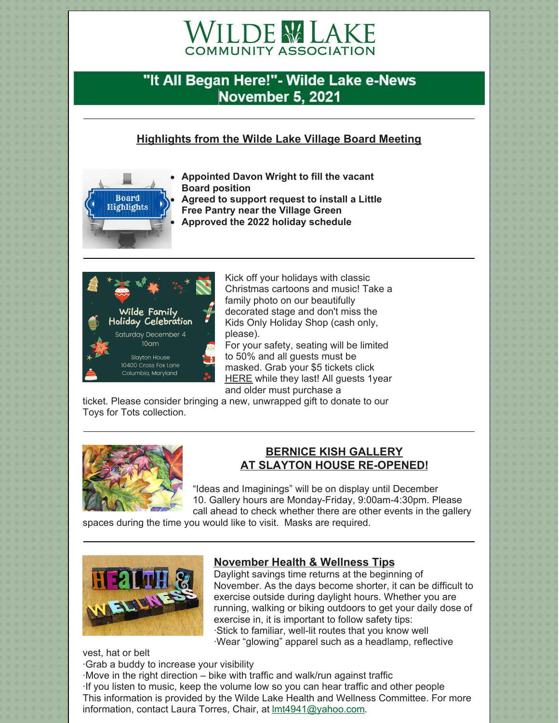# **WILDE MLAKE**

# "It All Began Here!"- Wilde Lake e-News **November 5, 2021**

# **Highlights from the Wilde Lake Village Board Meeting**



**Appointed Davon Wright to fill the vacant Board position Agreed to support request to install a Little Free Pantry near the Village Green**





Kick off your holidays with classic Christmas cartoons and music! Take a family photo on our beautifully decorated stage and don't miss the Kids Only Holiday Shop (cash only, please).

For your safety, seating will be limited to 50% and all guests must be masked. Grab your \$5 tickets click **[HERE](https://www.brownpapertickets.com/event/5292343)** while they last! All guests 1year and older must purchase a

ticket. Please consider bringing a new, unwrapped gift to donate to our Toys for Tots collection.



### **BERNICE KISH GALLERY AT SLAYTON HOUSE RE-OPENED!**

"Ideas and Imaginings" will be on display until December 10. Gallery hours are Monday-Friday, 9:00am-4:30pm. Please call ahead to check whether there are other events in the gallery

spaces during the time you would like to visit. Masks are required.



# **November Health & Wellness Tips**

Daylight savings time returns at the beginning of November. As the days become shorter, it can be difficult to exercise outside during daylight hours. Whether you are running, walking or biking outdoors to get your daily dose of exercise in, it is important to follow safety tips: ·Stick to familiar, well-lit routes that you know well ·Wear "glowing" apparel such as a headlamp, reflective

vest, hat or belt ·Grab a buddy to increase your visibility

·Move in the right direction – bike with traffic and walk/run against traffic ·If you listen to music, keep the volume low so you can hear traffic and other people This information is provided by the Wilde Lake Health and Wellness Committee. For more information, contact Laura Torres, Chair, at lmt4941@yahoo.com.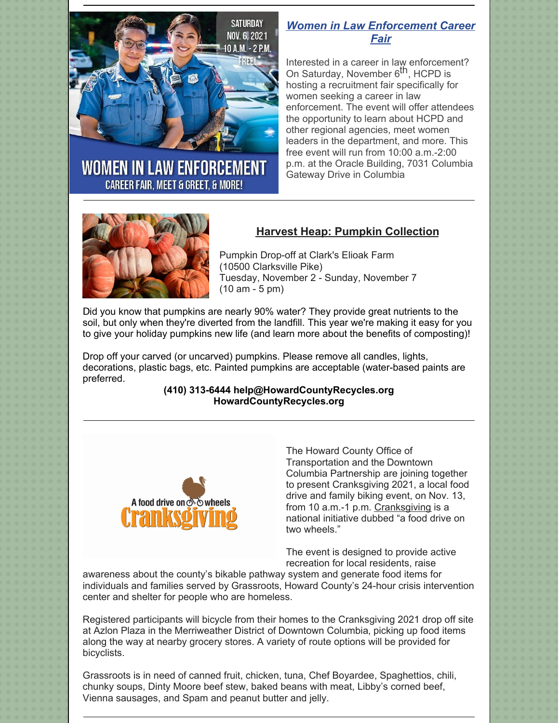

# **WOMEN IN LAW ENFORCEMENT CAREER FAIR, MEET & GREET, & MORE!**

# *Women in Law Enforcement Career Fair*

Interested in a career in law enforcement? on Saturday, November 6<sup>th</sup>, HCPD is hosting a recruitment fair specifically for women seeking a career in law enforcement. The event will offer attendees the opportunity to learn about HCPD and other regional agencies, meet women leaders in the department, and more. This free event will run from 10:00 a.m.-2:00 p.m. at the Oracle Building, 7031 Columbia Gateway Drive in Columbia



# **Harvest Heap: Pumpkin Collection**

Pumpkin Drop-off at Clark's Elioak Farm (10500 Clarksville Pike) Tuesday, November 2 - Sunday, November 7 (10 am - 5 pm)

Did you know that pumpkins are nearly 90% water? They provide great nutrients to the soil, but only when they're diverted from the landfill. This year we're making it easy for you to give your holiday pumpkins new life (and learn more about the benefits of composting)!

Drop off your carved (or uncarved) pumpkins. Please remove all candles, lights, decorations, plastic bags, etc. Painted pumpkins are acceptable (water-based paints are preferred.

#### **(410) 313-6444 help@HowardCountyRecycles.org HowardCountyRecycles.org**



The Howard County Office of [Transportation](http://www.dtcpartnership.com/) and the Downtown Columbia Partnership are joining together to present Cranksgiving 2021, a local food drive and family biking event, on Nov. 13, from 10 a.m.-1 p.m. [Cranksgiving](http://www.cranksgiving.org/) is a national initiative dubbed "a food drive on two wheels."

The event is designed to provide active recreation for local residents, raise

awareness about the county's bikable [pathway](https://www.columbiaassociation.org/wp-content/uploads/2017/10/CA_Pathways_LowRes.pdf) system and generate food items for individuals and families served by [Grassroots](http://www.grassrootscrisis.org/), Howard County's 24-hour crisis intervention center and shelter for people who are homeless.

Registered participants will bicycle from their homes to the Cranksgiving 2021 drop off site at Azlon Plaza in the [Merriweather](https://merriweatherdistrict.com/) District of [Downtown](https://downtowncolumbia.com/) Columbia, picking up food items along the way at nearby grocery stores. A variety of route options will be provided for bicyclists.

Grassroots is in need of canned fruit, chicken, tuna, Chef Boyardee, Spaghettios, chili, chunky soups, Dinty Moore beef stew, baked beans with meat, Libby's corned beef, Vienna sausages, and Spam and peanut butter and jelly.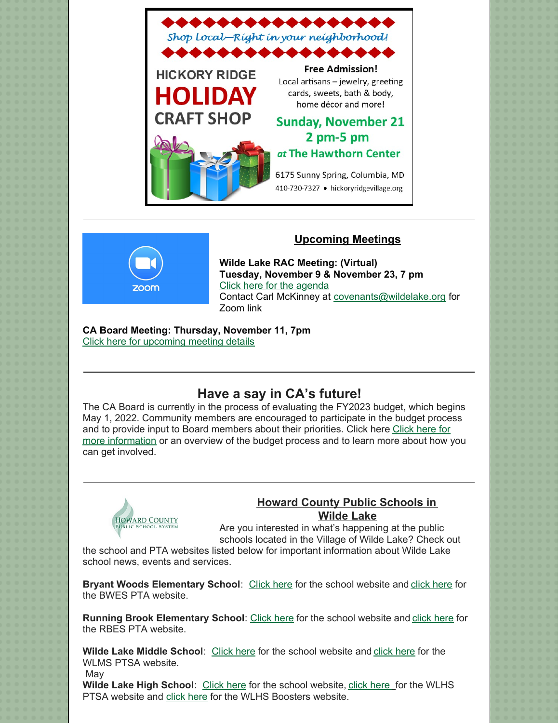

### **Upcoming Meetings**



**Wilde Lake RAC Meeting: (Virtual) Tuesday, November 9 & November 23, 7 pm** Click here for the [agenda](https://www.wildelake.org/covenants/rac-agenda/) Contact Carl McKinney at covenants@wildelake.org for Zoom link

**CA Board Meeting: Thursday, November 11, 7pm** Click here for [upcoming](https://www.columbiaassociation.org/about-us/leadership/board-of-directors/) meeting details

# **Have a say in CA's future!**

The CA Board is currently in the process of evaluating the FY2023 budget, which begins May 1, 2022. Community members are encouraged to participate in the budget process and to provide input to Board members about their priorities. Click here Click here for more [information](https://www.columbiaassociation.org/about-us/financials/financial-reports/) or an overview of the budget process and to learn more about how you can get involved.



# **Howard County Public Schools in Wilde Lake**

Are you interested in what's happening at the public schools located in the Village of Wilde Lake? Check out

the school and PTA websites listed below for important information about Wilde Lake school news, events and services.

**Bryant Woods Elementary School**: [Click](http://bwes.hcpss.org/) here for the school website and [click](https://bryantwoodspta.weebly.com/) here for the BWES PTA website.

**Running Brook Elementary School**: [Click](http://rbes.hcpss.org/) here for the school website and [click](https://runningbrookpta.org/) here for the RBES PTA website.

**Wilde Lake Middle School**: [Click](http://wlms.hcpss.org/) here for the school website and [click](https://tigersharks.new.memberhub.store/) here for the WLMS PTSA website.

May

**Wilde Lake High School**: [Click](https://wlhs.hcpss.org/) here for the school website, click [here](https://www.wildelakeptsa.org/) for the WLHS PTSA website and click [here](https://www.wlhsboosters.org/) for the WLHS Boosters website.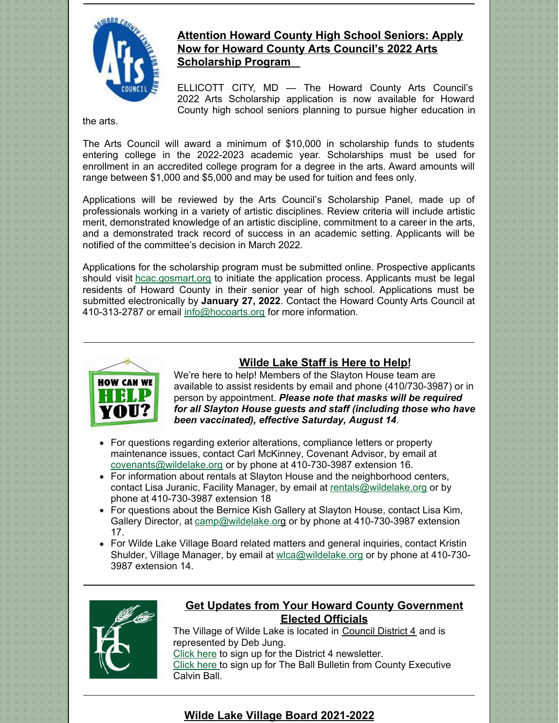

# **Attention Howard County High School Seniors: Apply Now for Howard County Arts Council's 2022 Arts Scholarship Program**

ELLICOTT CITY, MD — The Howard County Arts Council's 2022 Arts Scholarship application is now available for Howard County high school seniors planning to pursue higher education in

the arts.

The Arts Council will award a minimum of \$10,000 in scholarship funds to students entering college in the 2022-2023 academic year. Scholarships must be used for enrollment in an accredited college program for a degree in the arts. Award amounts will range between \$1,000 and \$5,000 and may be used for tuition and fees only.

Applications will be reviewed by the Arts Council's Scholarship Panel, made up of professionals working in a variety of artistic disciplines. Review criteria will include artistic merit, demonstrated knowledge of an artistic discipline, commitment to a career in the arts, and a demonstrated track record of success in an academic setting. Applicants will be notified of the committee's decision in March 2022.

Applications for the scholarship program must be submitted online. Prospective applicants should visit [hcac.gosmart.org](http://hcac.gosmart.org) to initiate the application process. Applicants must be legal residents of Howard County in their senior year of high school. Applications must be submitted electronically by **January 27, 2022**. Contact the Howard County Arts Council at 410-313-2787 or email [info@hocoarts.org](mailto:info@hocoarts.org) for more information.



# **Wilde Lake Staff is Here to Help!**

We're here to help! Members of the Slayton House team are available to assist residents by email and phone (410/730-3987) or in person by appointment. *Please note that masks will be required for all Slayton House guests and staff (including those who have been vaccinated), effective Saturday, August 14*.

- For questions regarding exterior alterations, compliance letters or property maintenance issues, contact Carl McKinney, Covenant Advisor, by email at [covenants@wildelake.org](mailto:covenants@wildelake.org) or by phone at 410-730-3987 extension 16.
- For information about rentals at Slayton House and the neighborhood centers, contact Lisa Juranic, Facility Manager, by email at [rentals@wildelake.org](mailto:rentals@wildelake.org) or by phone at 410-730-3987 extension 18
- For questions about the Bernice Kish Gallery at Slayton House, contact Lisa Kim, Gallery Director, at [camp@wildelake.org](mailto:gallery@wildelake.org) or by phone at 410-730-3987 extension 17.
- For Wilde Lake Village Board related matters and general inquiries, contact Kristin Shulder, Village Manager, by email at [wlca@wildelake.org](mailto:wlca@wildelake.org) or by phone at 410-730- 3987 extension 14.



## **Get Updates from Your Howard County Government Elected Officials**

The Village of Wilde Lake is located in [Council](https://cc.howardcountymd.gov/Districts/District-4  ) District 4 and is represented by Deb Jung. [Click](https://cc.howardcountymd.gov/Districts/District-4) here to sign up for the District 4 newsletter.

[Click](https://www.howardcountymd.gov/Branches/County-Executive/Newsletter) here to sign up for The Ball Bulletin from County Executive Calvin Ball.

# **Wilde Lake Village Board 2021-2022**